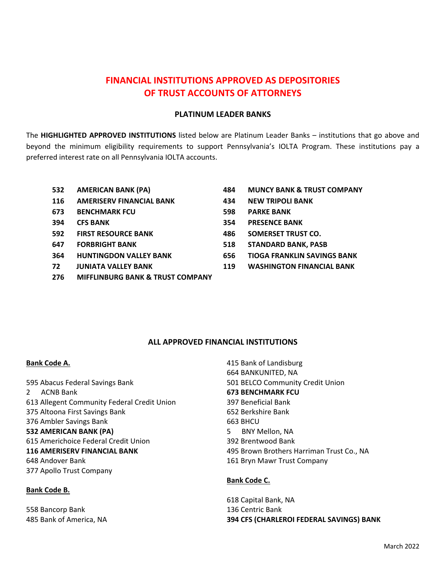# **FINANCIAL INSTITUTIONS APPROVED AS DEPOSITORIES OF TRUST ACCOUNTS OF ATTORNEYS**

## **PLATINUM LEADER BANKS**

The **HIGHLIGHTED APPROVED INSTITUTIONS** listed below are Platinum Leader Banks – institutions that go above and beyond the minimum eligibility requirements to support Pennsylvania's IOLTA Program. These institutions pay a preferred interest rate on all Pennsylvania IOLTA accounts.

- **AMERICAN BANK (PA)**
- **AMERISERV FINANCIAL BANK**
- **BENCHMARK FCU**
- **CFS BANK**
- **FIRST RESOURCE BANK**
- **FORBRIGHT BANK**
- **HUNTINGDON VALLEY BANK**
- **JUNIATA VALLEY BANK**
- **MIFFLINBURG BANK & TRUST COMPANY**

## **MUNCY BANK & TRUST COMPANY**

- **NEW TRIPOLI BANK**
- **PARKE BANK**
- **PRESENCE BANK**
- **SOMERSET TRUST CO.**
- **STANDARD BANK, PASB**
- **TIOGA FRANKLIN SAVINGS BANK**
- **WASHINGTON FINANCIAL BANK**

# **ALL APPROVED FINANCIAL INSTITUTIONS**

## **Bank Code A.**

 Abacus Federal Savings Bank 2 ACNB Bank Allegent Community Federal Credit Union Altoona First Savings Bank Ambler Savings Bank **AMERICAN BANK (PA)** Americhoice Federal Credit Union **AMERISERV FINANCIAL BANK** Andover Bank Apollo Trust Company

## **Bank Code B.**

 Bancorp Bank Bank of America, NA

 Bank of Landisburg BANKUNITED, NA BELCO Community Credit Union **BENCHMARK FCU**  Beneficial Bank Berkshire Bank BHCU BNY Mellon, NA Brentwood Bank Brown Brothers Harriman Trust Co., NA Bryn Mawr Trust Company

# **Bank Code C.**

 Capital Bank, NA Centric Bank **CFS (CHARLEROI FEDERAL SAVINGS) BANK**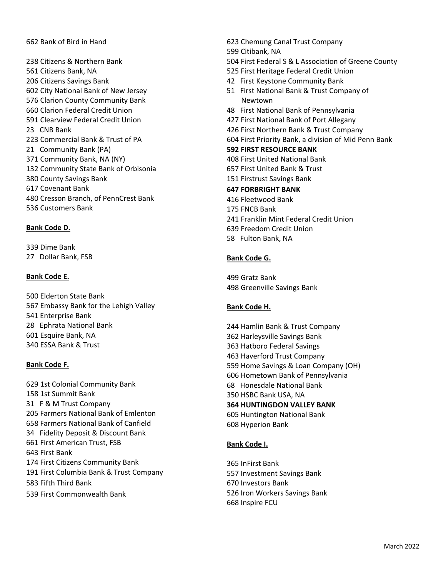## Bank of Bird in Hand 623 Chemung Canal Trust Company

 Citizens & Northern Bank Citizens Bank, NA Citizens Savings Bank City National Bank of New Jersey Clarion County Community Bank Clarion Federal Credit Union Clearview Federal Credit Union CNB Bank Commercial Bank & Trust of PA 21 Community Bank (PA) Community Bank, NA (NY) Community State Bank of Orbisonia County Savings Bank Covenant Bank Cresson Branch, of PennCrest Bank Customers Bank

#### **Bank Code D.**

 Dime Bank 27 Dollar Bank, FSB

## **Bank Code E.**

 Elderton State Bank Embassy Bank for the Lehigh Valley Enterprise Bank Ephrata National Bank Esquire Bank, NA ESSA Bank & Trust

## **Bank Code F.**

 1st Colonial Community Bank 1st Summit Bank 31 F & M Trust Company Farmers National Bank of Emlenton Farmers National Bank of Canfield Fidelity Deposit & Discount Bank First American Trust, FSB First Bank First Citizens Community Bank First Columbia Bank & Trust Company Fifth Third Bank First Commonwealth Bank

 First Federal S & L Association of Greene County First Heritage Federal Credit Union First Keystone Community Bank First National Bank & Trust Company of Newtown First National Bank of Pennsylvania First National Bank of Port Allegany First Northern Bank & Trust Company First Priority Bank, a division of Mid Penn Bank **FIRST RESOURCE BANK** First United National Bank First United Bank & Trust Firstrust Savings Bank **FORBRIGHT BANK** Fleetwood Bank FNCB Bank Franklin Mint Federal Credit Union Freedom Credit Union

Fulton Bank, NA

Citibank, NA

#### **Bank Code G.**

 Gratz Bank Greenville Savings Bank

#### **Bank Code H.**

 Hamlin Bank & Trust Company Harleysville Savings Bank Hatboro Federal Savings Haverford Trust Company Home Savings & Loan Company (OH) Hometown Bank of Pennsylvania Honesdale National Bank HSBC Bank USA, NA **HUNTINGDON VALLEY BANK** Huntington National Bank Hyperion Bank

## **Bank Code I.**

 InFirst Bank Investment Savings Bank Investors Bank Iron Workers Savings Bank Inspire FCU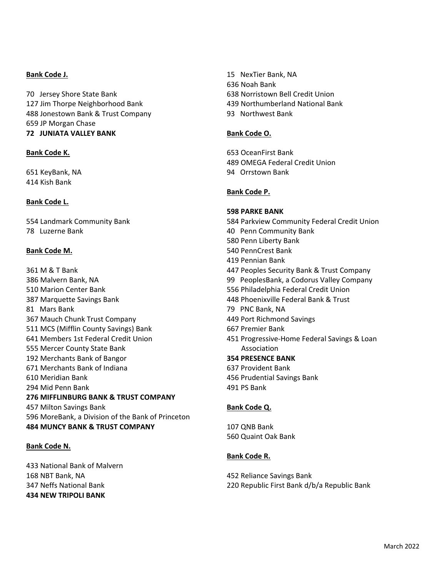## **Bank Code J.**

 Jersey Shore State Bank Jim Thorpe Neighborhood Bank Jonestown Bank & Trust Company JP Morgan Chase  **JUNIATA VALLEY BANK** 

## **Bank Code K.**

 KeyBank, NA Kish Bank

## **Bank Code L.**

 Landmark Community Bank Luzerne Bank

#### **Bank Code M.**

 M & T Bank Malvern Bank, NA Marion Center Bank Marquette Savings Bank Mars Bank Mauch Chunk Trust Company MCS (Mifflin County Savings) Bank Members 1st Federal Credit Union Mercer County State Bank Merchants Bank of Bangor Merchants Bank of Indiana Meridian Bank Mid Penn Bank **MIFFLINBURG BANK & TRUST COMPANY**  Milton Savings Bank MoreBank, a Division of the Bank of Princeton **MUNCY BANK & TRUST COMPANY** 

## **Bank Code N.**

 National Bank of Malvern NBT Bank, NA Neffs National Bank **NEW TRIPOLI BANK** 

 NexTier Bank, NA Noah Bank Norristown Bell Credit Union Northumberland National Bank Northwest Bank

#### **Bank Code O.**

 OceanFirst Bank OMEGA Federal Credit Union Orrstown Bank

#### **Bank Code P.**

#### **PARKE BANK**

- Parkview Community Federal Credit Union
- Penn Community Bank
- Penn Liberty Bank
- PennCrest Bank
- Pennian Bank
- Peoples Security Bank & Trust Company
- PeoplesBank, a Codorus Valley Company
- Philadelphia Federal Credit Union
- Phoenixville Federal Bank & Trust
- PNC Bank, NA
- Port Richmond Savings
- Premier Bank
- Progressive‐Home Federal Savings & Loan Association
- **PRESENCE BANK**
- Provident Bank
- Prudential Savings Bank
- PS Bank

## **Bank Code Q.**

 QNB Bank Quaint Oak Bank

#### **Bank Code R.**

 Reliance Savings Bank Republic First Bank d/b/a Republic Bank